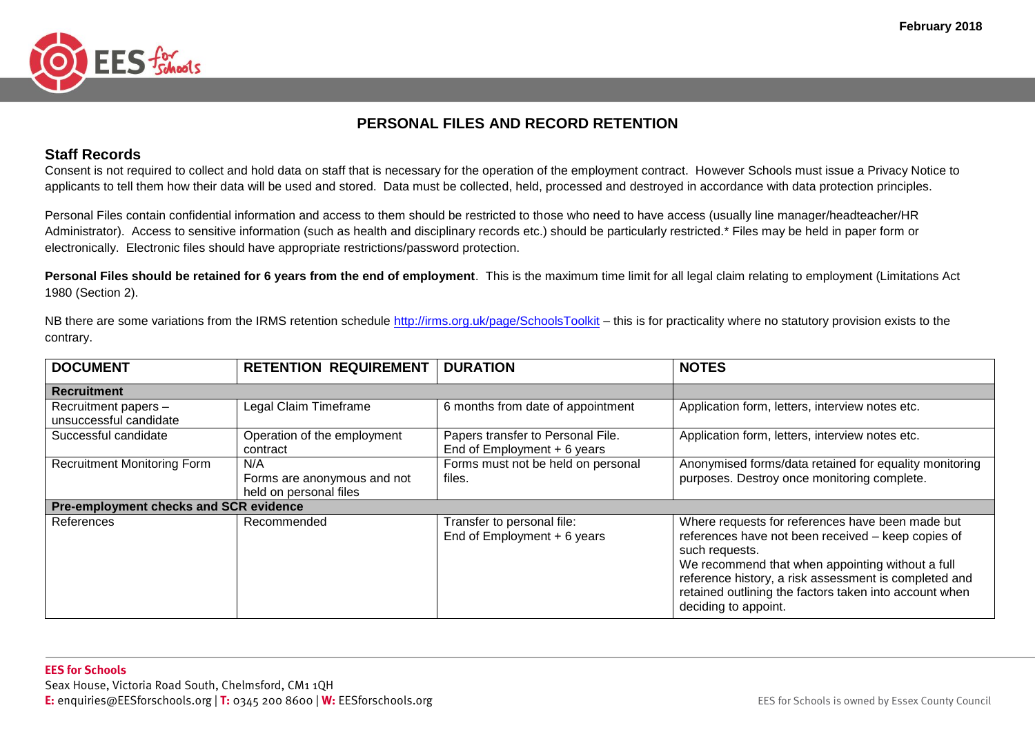

## **PERSONAL FILES AND RECORD RETENTION**

#### **Staff Records**

Consent is not required to collect and hold data on staff that is necessary for the operation of the employment contract. However Schools must issue a Privacy Notice to applicants to tell them how their data will be used and stored. Data must be collected, held, processed and destroyed in accordance with data protection principles.

Personal Files contain confidential information and access to them should be restricted to those who need to have access (usually line manager/headteacher/HR Administrator). Access to sensitive information (such as health and disciplinary records etc.) should be particularly restricted.\* Files may be held in paper form or electronically. Electronic files should have appropriate restrictions/password protection.

Personal Files should be retained for 6 years from the end of employment. This is the maximum time limit for all legal claim relating to employment (Limitations Act 1980 (Section 2).

NB there are some variations from the IRMS retention schedule<http://irms.org.uk/page/SchoolsToolkit> – this is for practicality where no statutory provision exists to the contrary.

| <b>DOCUMENT</b>                               | <b>RETENTION REQUIREMENT</b> | <b>DURATION</b>                    | <b>NOTES</b>                                           |
|-----------------------------------------------|------------------------------|------------------------------------|--------------------------------------------------------|
| <b>Recruitment</b>                            |                              |                                    |                                                        |
| Recruitment papers -                          | Legal Claim Timeframe        | 6 months from date of appointment  | Application form, letters, interview notes etc.        |
| unsuccessful candidate                        |                              |                                    |                                                        |
| Successful candidate                          | Operation of the employment  | Papers transfer to Personal File.  | Application form, letters, interview notes etc.        |
|                                               | contract                     | End of Employment $+6$ years       |                                                        |
| <b>Recruitment Monitoring Form</b>            | N/A                          | Forms must not be held on personal | Anonymised forms/data retained for equality monitoring |
|                                               | Forms are anonymous and not  | files.                             | purposes. Destroy once monitoring complete.            |
|                                               | held on personal files       |                                    |                                                        |
| <b>Pre-employment checks and SCR evidence</b> |                              |                                    |                                                        |
| References                                    | Recommended                  | Transfer to personal file:         | Where requests for references have been made but       |
|                                               |                              | End of Employment $+6$ years       | references have not been received - keep copies of     |
|                                               |                              |                                    | such requests.                                         |
|                                               |                              |                                    | We recommend that when appointing without a full       |
|                                               |                              |                                    | reference history, a risk assessment is completed and  |
|                                               |                              |                                    | retained outlining the factors taken into account when |
|                                               |                              |                                    | deciding to appoint.                                   |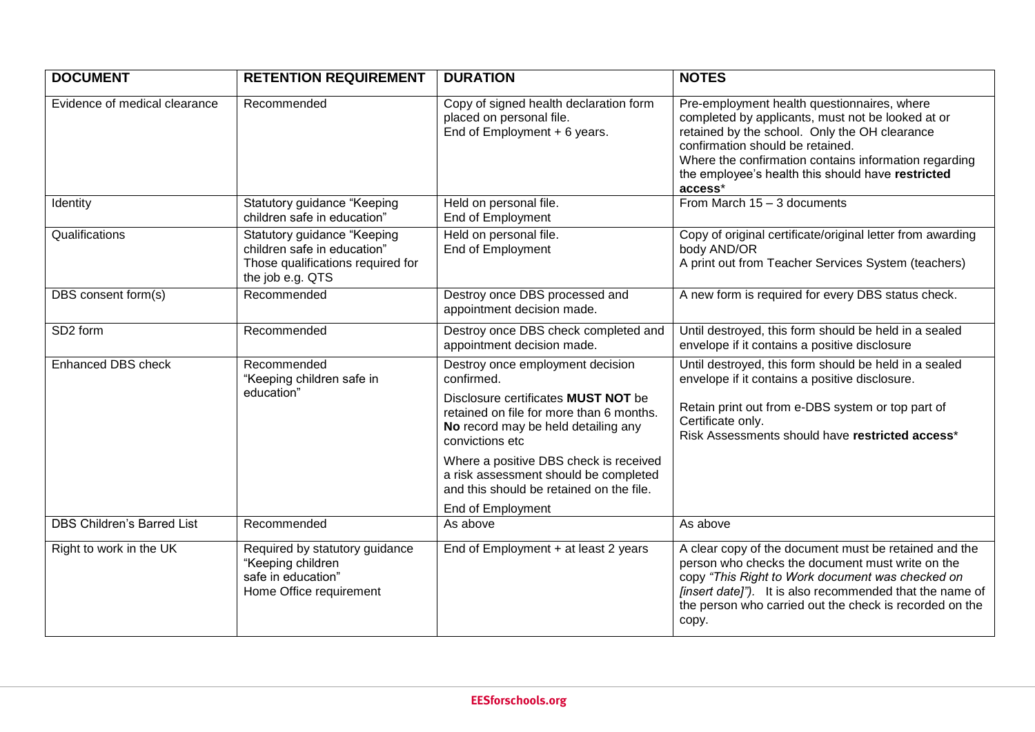| <b>DOCUMENT</b>               | <b>RETENTION REQUIREMENT</b>                                                                                        | <b>DURATION</b>                                                                                                                                                                                                                                                                                                                                 | <b>NOTES</b>                                                                                                                                                                                                                                                                                                   |
|-------------------------------|---------------------------------------------------------------------------------------------------------------------|-------------------------------------------------------------------------------------------------------------------------------------------------------------------------------------------------------------------------------------------------------------------------------------------------------------------------------------------------|----------------------------------------------------------------------------------------------------------------------------------------------------------------------------------------------------------------------------------------------------------------------------------------------------------------|
| Evidence of medical clearance | Recommended                                                                                                         | Copy of signed health declaration form<br>placed on personal file.<br>End of Employment + 6 years.                                                                                                                                                                                                                                              | Pre-employment health questionnaires, where<br>completed by applicants, must not be looked at or<br>retained by the school. Only the OH clearance<br>confirmation should be retained.<br>Where the confirmation contains information regarding<br>the employee's health this should have restricted<br>access* |
| Identity                      | Statutory guidance "Keeping<br>children safe in education"                                                          | Held on personal file.<br>End of Employment                                                                                                                                                                                                                                                                                                     | From March $15 - 3$ documents                                                                                                                                                                                                                                                                                  |
| Qualifications                | Statutory guidance "Keeping<br>children safe in education"<br>Those qualifications required for<br>the job e.g. QTS | Held on personal file.<br>End of Employment                                                                                                                                                                                                                                                                                                     | Copy of original certificate/original letter from awarding<br>body AND/OR<br>A print out from Teacher Services System (teachers)                                                                                                                                                                               |
| DBS consent form(s)           | Recommended                                                                                                         | Destroy once DBS processed and<br>appointment decision made.                                                                                                                                                                                                                                                                                    | A new form is required for every DBS status check.                                                                                                                                                                                                                                                             |
| SD <sub>2</sub> form          | Recommended                                                                                                         | Destroy once DBS check completed and<br>appointment decision made.                                                                                                                                                                                                                                                                              | Until destroyed, this form should be held in a sealed<br>envelope if it contains a positive disclosure                                                                                                                                                                                                         |
| <b>Enhanced DBS check</b>     | Recommended<br>"Keeping children safe in<br>education"                                                              | Destroy once employment decision<br>confirmed.<br>Disclosure certificates MUST NOT be<br>retained on file for more than 6 months.<br>No record may be held detailing any<br>convictions etc<br>Where a positive DBS check is received<br>a risk assessment should be completed<br>and this should be retained on the file.<br>End of Employment | Until destroyed, this form should be held in a sealed<br>envelope if it contains a positive disclosure.<br>Retain print out from e-DBS system or top part of<br>Certificate only.<br>Risk Assessments should have restricted access*                                                                           |
| DBS Children's Barred List    | Recommended                                                                                                         | As above                                                                                                                                                                                                                                                                                                                                        | As above                                                                                                                                                                                                                                                                                                       |
| Right to work in the UK       | Required by statutory guidance<br>"Keeping children<br>safe in education"<br>Home Office requirement                | End of Employment + at least 2 years                                                                                                                                                                                                                                                                                                            | A clear copy of the document must be retained and the<br>person who checks the document must write on the<br>copy "This Right to Work document was checked on<br>[insert date]"). It is also recommended that the name of<br>the person who carried out the check is recorded on the<br>copy.                  |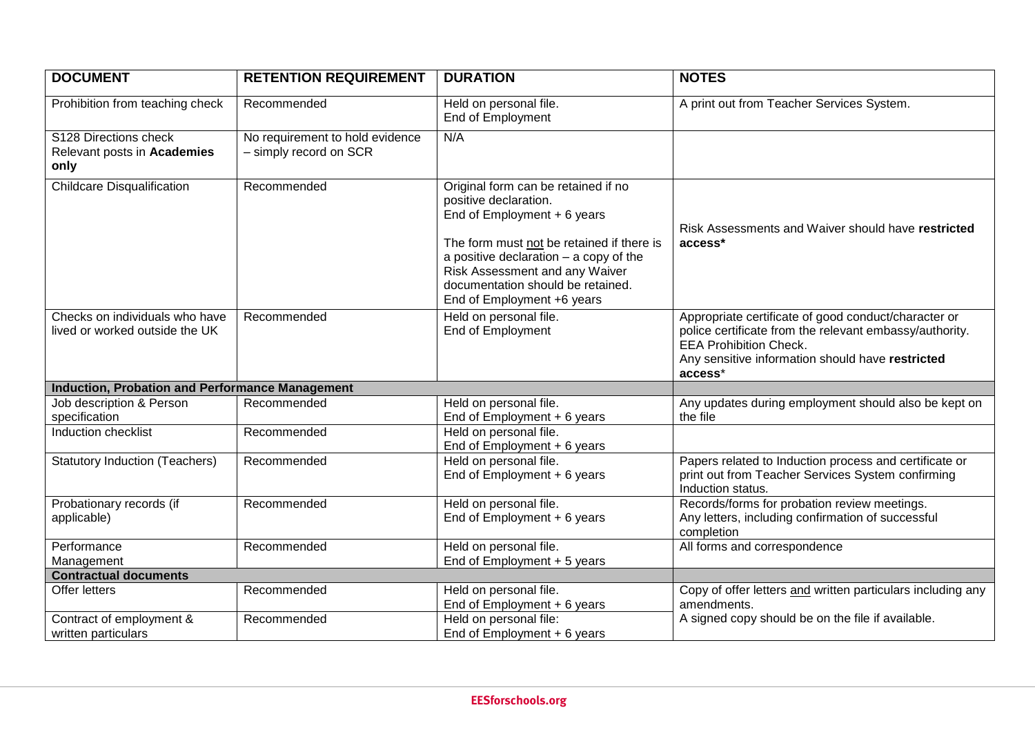| <b>DOCUMENT</b>                                                  | <b>RETENTION REQUIREMENT</b>                              | <b>DURATION</b>                                                                                                                                                                                                                                                                           | <b>NOTES</b>                                                                                                                                                                                                    |
|------------------------------------------------------------------|-----------------------------------------------------------|-------------------------------------------------------------------------------------------------------------------------------------------------------------------------------------------------------------------------------------------------------------------------------------------|-----------------------------------------------------------------------------------------------------------------------------------------------------------------------------------------------------------------|
| Prohibition from teaching check                                  | Recommended                                               | Held on personal file.<br>End of Employment                                                                                                                                                                                                                                               | A print out from Teacher Services System.                                                                                                                                                                       |
| S128 Directions check<br>Relevant posts in Academies<br>only     | No requirement to hold evidence<br>- simply record on SCR | N/A                                                                                                                                                                                                                                                                                       |                                                                                                                                                                                                                 |
| <b>Childcare Disqualification</b>                                | Recommended                                               | Original form can be retained if no<br>positive declaration.<br>End of Employment + 6 years<br>The form must not be retained if there is<br>a positive declaration $-$ a copy of the<br>Risk Assessment and any Waiver<br>documentation should be retained.<br>End of Employment +6 years | Risk Assessments and Waiver should have restricted<br>access*                                                                                                                                                   |
| Checks on individuals who have<br>lived or worked outside the UK | Recommended                                               | Held on personal file.<br>End of Employment                                                                                                                                                                                                                                               | Appropriate certificate of good conduct/character or<br>police certificate from the relevant embassy/authority.<br><b>EEA Prohibition Check.</b><br>Any sensitive information should have restricted<br>access* |
| <b>Induction, Probation and Performance Management</b>           |                                                           |                                                                                                                                                                                                                                                                                           |                                                                                                                                                                                                                 |
| Job description & Person<br>specification                        | Recommended                                               | Held on personal file.<br>End of Employment $+6$ years                                                                                                                                                                                                                                    | Any updates during employment should also be kept on<br>the file                                                                                                                                                |
| Induction checklist                                              | Recommended                                               | Held on personal file.<br>End of Employment + 6 years                                                                                                                                                                                                                                     |                                                                                                                                                                                                                 |
| <b>Statutory Induction (Teachers)</b>                            | Recommended                                               | Held on personal file.<br>End of Employment + 6 years                                                                                                                                                                                                                                     | Papers related to Induction process and certificate or<br>print out from Teacher Services System confirming<br>Induction status.                                                                                |
| Probationary records (if<br>applicable)                          | Recommended                                               | Held on personal file.<br>End of Employment + 6 years                                                                                                                                                                                                                                     | Records/forms for probation review meetings.<br>Any letters, including confirmation of successful<br>completion                                                                                                 |
| Performance<br>Management                                        | Recommended                                               | Held on personal file.<br>End of Employment + 5 years                                                                                                                                                                                                                                     | All forms and correspondence                                                                                                                                                                                    |
| <b>Contractual documents</b>                                     |                                                           |                                                                                                                                                                                                                                                                                           |                                                                                                                                                                                                                 |
| Offer letters                                                    | Recommended                                               | Held on personal file.<br>End of Employment + 6 years                                                                                                                                                                                                                                     | Copy of offer letters and written particulars including any<br>amendments.                                                                                                                                      |
| Contract of employment &<br>written particulars                  | Recommended                                               | Held on personal file:<br>End of Employment + 6 years                                                                                                                                                                                                                                     | A signed copy should be on the file if available.                                                                                                                                                               |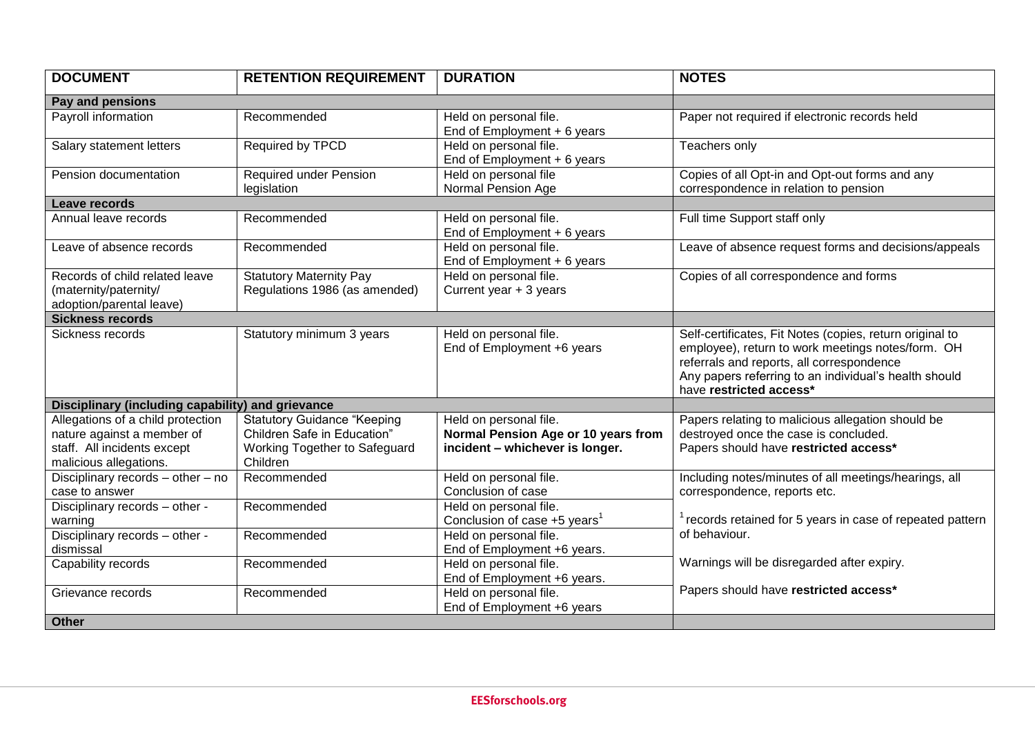| <b>DOCUMENT</b>                                                                                                          | <b>RETENTION REQUIREMENT</b>                                                                                   | <b>DURATION</b>                                                                                  | <b>NOTES</b>                                                                                                                                                                                                                                   |
|--------------------------------------------------------------------------------------------------------------------------|----------------------------------------------------------------------------------------------------------------|--------------------------------------------------------------------------------------------------|------------------------------------------------------------------------------------------------------------------------------------------------------------------------------------------------------------------------------------------------|
| Pay and pensions                                                                                                         |                                                                                                                |                                                                                                  |                                                                                                                                                                                                                                                |
| Payroll information                                                                                                      | Recommended                                                                                                    | Held on personal file.<br>End of Employment $+6$ years                                           | Paper not required if electronic records held                                                                                                                                                                                                  |
| Salary statement letters                                                                                                 | Required by TPCD                                                                                               | Held on personal file.<br>End of Employment + 6 years                                            | Teachers only                                                                                                                                                                                                                                  |
| Pension documentation                                                                                                    | <b>Required under Pension</b><br>legislation                                                                   | Held on personal file<br>Normal Pension Age                                                      | Copies of all Opt-in and Opt-out forms and any<br>correspondence in relation to pension                                                                                                                                                        |
| Leave records                                                                                                            |                                                                                                                |                                                                                                  |                                                                                                                                                                                                                                                |
| Annual leave records                                                                                                     | Recommended                                                                                                    | Held on personal file.<br>End of Employment + 6 years                                            | Full time Support staff only                                                                                                                                                                                                                   |
| Leave of absence records                                                                                                 | Recommended                                                                                                    | Held on personal file.<br>End of $Employment + 6 years$                                          | Leave of absence request forms and decisions/appeals                                                                                                                                                                                           |
| Records of child related leave<br>(maternity/paternity/<br>adoption/parental leave)                                      | <b>Statutory Maternity Pay</b><br>Regulations 1986 (as amended)                                                | Held on personal file.<br>Current year $+3$ years                                                | Copies of all correspondence and forms                                                                                                                                                                                                         |
| <b>Sickness records</b>                                                                                                  |                                                                                                                |                                                                                                  |                                                                                                                                                                                                                                                |
| Sickness records                                                                                                         | Statutory minimum 3 years                                                                                      | Held on personal file.<br>End of Employment +6 years                                             | Self-certificates, Fit Notes (copies, return original to<br>employee), return to work meetings notes/form. OH<br>referrals and reports, all correspondence<br>Any papers referring to an individual's health should<br>have restricted access* |
| Disciplinary (including capability) and grievance                                                                        |                                                                                                                |                                                                                                  |                                                                                                                                                                                                                                                |
| Allegations of a child protection<br>nature against a member of<br>staff. All incidents except<br>malicious allegations. | <b>Statutory Guidance "Keeping</b><br>Children Safe in Education"<br>Working Together to Safeguard<br>Children | Held on personal file.<br>Normal Pension Age or 10 years from<br>incident - whichever is longer. | Papers relating to malicious allegation should be<br>destroyed once the case is concluded.<br>Papers should have restricted access*                                                                                                            |
| Disciplinary records - other - no<br>case to answer                                                                      | Recommended                                                                                                    | Held on personal file.<br>Conclusion of case                                                     | Including notes/minutes of all meetings/hearings, all<br>correspondence, reports etc.                                                                                                                                                          |
| Disciplinary records - other -<br>warning                                                                                | Recommended                                                                                                    | Held on personal file.<br>Conclusion of case +5 years <sup>1</sup>                               | records retained for 5 years in case of repeated pattern                                                                                                                                                                                       |
| Disciplinary records - other -<br>dismissal                                                                              | Recommended                                                                                                    | Held on personal file.<br>End of Employment +6 years.                                            | of behaviour.                                                                                                                                                                                                                                  |
| Capability records                                                                                                       | Recommended                                                                                                    | Held on personal file.<br>End of Employment +6 years.                                            | Warnings will be disregarded after expiry.                                                                                                                                                                                                     |
| Grievance records                                                                                                        | Recommended                                                                                                    | Held on personal file.<br>End of Employment +6 years                                             | Papers should have restricted access*                                                                                                                                                                                                          |
| Other                                                                                                                    |                                                                                                                |                                                                                                  |                                                                                                                                                                                                                                                |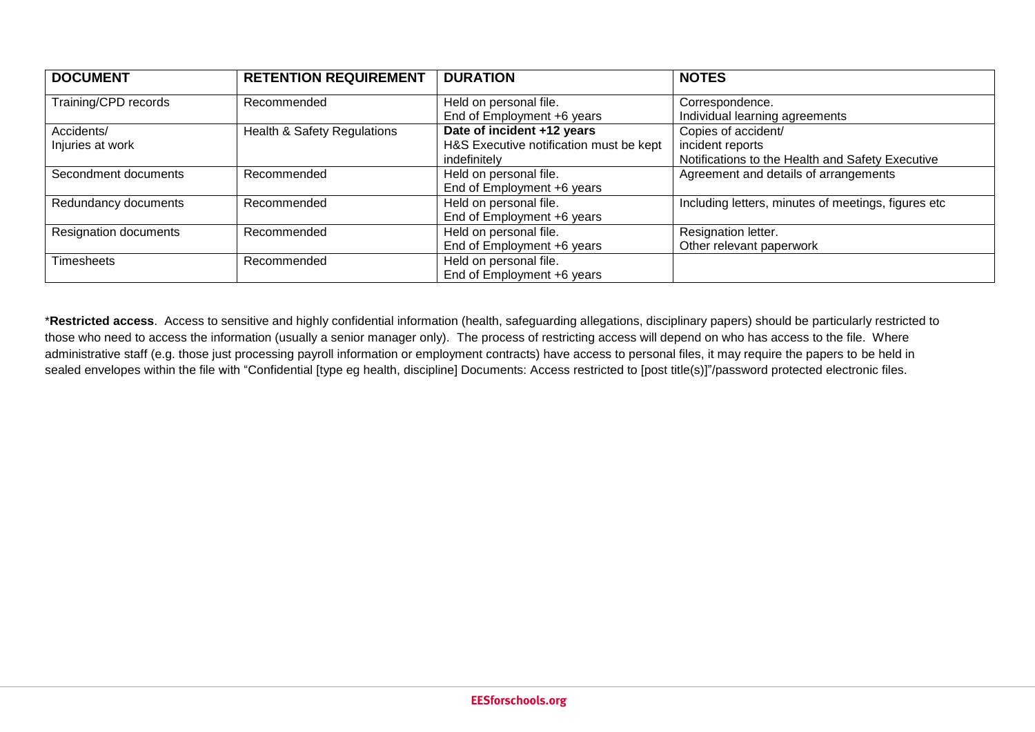| <b>DOCUMENT</b>       | <b>RETENTION REQUIREMENT</b> | <b>DURATION</b>                         | <b>NOTES</b>                                        |
|-----------------------|------------------------------|-----------------------------------------|-----------------------------------------------------|
| Training/CPD records  | Recommended                  | Held on personal file.                  | Correspondence.                                     |
|                       |                              | End of Employment +6 years              | Individual learning agreements                      |
| Accidents/            | Health & Safety Regulations  | Date of incident +12 years              | Copies of accident/                                 |
| Injuries at work      |                              | H&S Executive notification must be kept | incident reports                                    |
|                       |                              | indefinitely                            | Notifications to the Health and Safety Executive    |
| Secondment documents  | Recommended                  | Held on personal file.                  | Agreement and details of arrangements               |
|                       |                              | End of Employment +6 years              |                                                     |
| Redundancy documents  | Recommended                  | Held on personal file.                  | Including letters, minutes of meetings, figures etc |
|                       |                              | End of Employment +6 years              |                                                     |
| Resignation documents | Recommended                  | Held on personal file.                  | Resignation letter.                                 |
|                       |                              | End of Employment +6 years              | Other relevant paperwork                            |
| Timesheets            | Recommended                  | Held on personal file.                  |                                                     |
|                       |                              | End of Employment +6 years              |                                                     |

\***Restricted access**. Access to sensitive and highly confidential information (health, safeguarding allegations, disciplinary papers) should be particularly restricted to those who need to access the information (usually a senior manager only). The process of restricting access will depend on who has access to the file. Where administrative staff (e.g. those just processing payroll information or employment contracts) have access to personal files, it may require the papers to be held in sealed envelopes within the file with "Confidential [type eg health, discipline] Documents: Access restricted to [post title(s)]"/password protected electronic files.